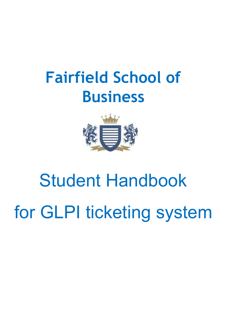## **Fairfield School of Business**



# Student Handbook for GLPI ticketing system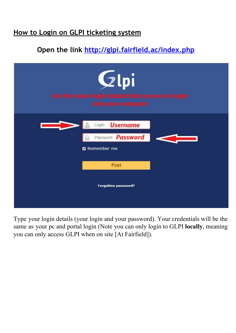#### **How to Login on GLPI ticketing system**

### **Open the link<http://glpi.fairfield.ac/index.php>**

| Glpi<br>Use the same login details that you use to login<br>into your computer |  |  |  |  |  |  |
|--------------------------------------------------------------------------------|--|--|--|--|--|--|
| <b>Username</b><br>Login<br>Password <b>Password</b><br><b>2</b> Remember me   |  |  |  |  |  |  |
| Post<br>Forgotten password?                                                    |  |  |  |  |  |  |

Type your login details (your login and your password). Your credentials will be the same as your pc and portal login (Note you can only login to GLPI **locally**, meaning you can only access GLPI when on site [At Fairfield]).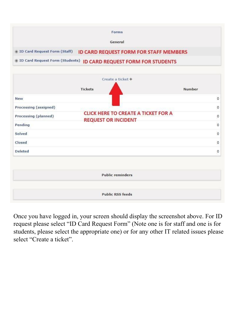|                                | Forms                                                               |  |
|--------------------------------|---------------------------------------------------------------------|--|
|                                | General                                                             |  |
| + ID Card Request Form (Staff) | <b>ID CARD REQUEST FORM FOR STAFF MEMBERS</b>                       |  |
|                                | # ID Card Request Form (Students) ID CARD REQUEST FORM FOR STUDENTS |  |

|                       | <b>Tickets</b>                                                           | Number  |
|-----------------------|--------------------------------------------------------------------------|---------|
| <b>New</b>            |                                                                          | $\circ$ |
| Processing (assigned) |                                                                          | $\circ$ |
| Processing (planned)  | <b>CLICK HERE TO CREATE A TICKET FOR A</b><br><b>REQUEST OR INCIDENT</b> | $\circ$ |
| Pending               |                                                                          | $\circ$ |
| Solved                |                                                                          | $\circ$ |
| Closed                |                                                                          | $\circ$ |
| <b>Deleted</b>        |                                                                          | $\circ$ |
|                       | <b>Public reminders</b>                                                  |         |

Once you have logged in, your screen should display the screenshot above. For ID request please select "ID Card Request Form" (Note one is for staff and one is for students, please select the appropriate one) or for any other IT related issues please select "Create a ticket".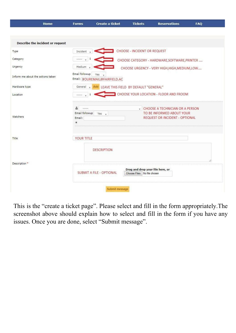| Home                              | <b>Forms</b>                                                         | <b>Create a ticket</b>                    | <b>Tickets</b>                                                    | <b>Reservations</b>                                                                                          | <b>FAQ</b> |  |  |
|-----------------------------------|----------------------------------------------------------------------|-------------------------------------------|-------------------------------------------------------------------|--------------------------------------------------------------------------------------------------------------|------------|--|--|
|                                   |                                                                      |                                           |                                                                   |                                                                                                              |            |  |  |
| Describe the incident or request  |                                                                      |                                           |                                                                   |                                                                                                              |            |  |  |
| Type.                             | Incident                                                             |                                           | <b>CHOOSE - INCIDENT OR REQUEST</b>                               |                                                                                                              |            |  |  |
| Category                          | -----                                                                |                                           |                                                                   | CHOOSE CATEGORY - HARDWARE, SOFTWARE, PRINTER                                                                |            |  |  |
| Urgency                           | Medium                                                               |                                           |                                                                   | CHOOSE URGENCY - VERY HIGH, HIGH, MEDIUM, LOW                                                                |            |  |  |
| Inform me about the actions taken | Email followup<br>Yes<br>Email: <i><b>YOUREMAIL@FAIRFIELD.AC</b></i> | ۰.                                        |                                                                   |                                                                                                              |            |  |  |
| Hardware type                     | General<br>$\overline{\phantom{a}}$                                  | Add LEAVE THIS FIELD BY DEFAULT "GENERAL" |                                                                   |                                                                                                              |            |  |  |
| Location                          | CHOOSE YOUR LOCATION - FLOOR AND FROOM<br>******                     |                                           |                                                                   |                                                                                                              |            |  |  |
| Watchers                          | -----<br>Email followup<br>Email:<br>$\ddot{}$                       | Yes<br>$\mathbf{v}$                       | ŵ.                                                                | <b>CHOOSE A TECHNICIAN OR A PERSON</b><br>TO BE INFORMED ABOUT YOUR<br><b>REQUEST OR INCIDENT - OPTIONAL</b> |            |  |  |
| Title                             | <b>YOUR TITLE</b>                                                    |                                           |                                                                   |                                                                                                              |            |  |  |
|                                   |                                                                      | <b>DESCRIPTION</b>                        |                                                                   |                                                                                                              |            |  |  |
| Description*                      |                                                                      |                                           |                                                                   |                                                                                                              |            |  |  |
|                                   | SUBMIT A FILE - OPTIONAL                                             |                                           | Drag and drop your file here, or<br>Choose Files   No file chosen |                                                                                                              |            |  |  |
|                                   |                                                                      | Submit message                            |                                                                   |                                                                                                              |            |  |  |

This is the "create a ticket page". Please select and fill in the form appropriately.The screenshot above should explain how to select and fill in the form if you have any issues. Once you are done, select "Submit message".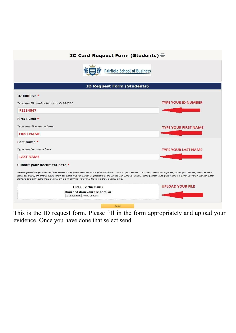#### ID Card Request Form (Students)  $\ominus$



| <b>ID Request Form (Students)</b>                                                                                                                                                                                                                                                                                                                                               |                             |
|---------------------------------------------------------------------------------------------------------------------------------------------------------------------------------------------------------------------------------------------------------------------------------------------------------------------------------------------------------------------------------|-----------------------------|
| ID number $*$                                                                                                                                                                                                                                                                                                                                                                   |                             |
| Type you ID number here e.g. F1234567                                                                                                                                                                                                                                                                                                                                           | <b>TYPE YOUR ID NUMBER</b>  |
| F1234567                                                                                                                                                                                                                                                                                                                                                                        |                             |
| First name *                                                                                                                                                                                                                                                                                                                                                                    |                             |
| Type your first name here                                                                                                                                                                                                                                                                                                                                                       | <b>TYPE YOUR FIRST NAME</b> |
| <b>FIRST NAME</b>                                                                                                                                                                                                                                                                                                                                                               |                             |
| Last name *                                                                                                                                                                                                                                                                                                                                                                     |                             |
| Type you last name here                                                                                                                                                                                                                                                                                                                                                         | <b>TYPE YOUR LAST NAME</b>  |
| <b>LAST NAME</b>                                                                                                                                                                                                                                                                                                                                                                |                             |
| Submit your document here *                                                                                                                                                                                                                                                                                                                                                     |                             |
| Either proof of purchase (For users that have lost or miss placed their ID card you need to submit your receipt to prove you have purchased a<br>new ID card) or Proof that your ID card has expired. A picture of your old ID card is acceptable (note that you have to give us your old ID card<br>before we can give you a new one otherwise you will have to buy a new one) |                             |
| File(s) $(2$ Mio max) $i$                                                                                                                                                                                                                                                                                                                                                       | <b>UPLOAD YOUR FILE</b>     |
| Drag and drop your file here, or<br>Choose File No file chosen                                                                                                                                                                                                                                                                                                                  |                             |

This is the ID request form. Please fill in the form appropriately and upload your evidence. Once you have done that select send